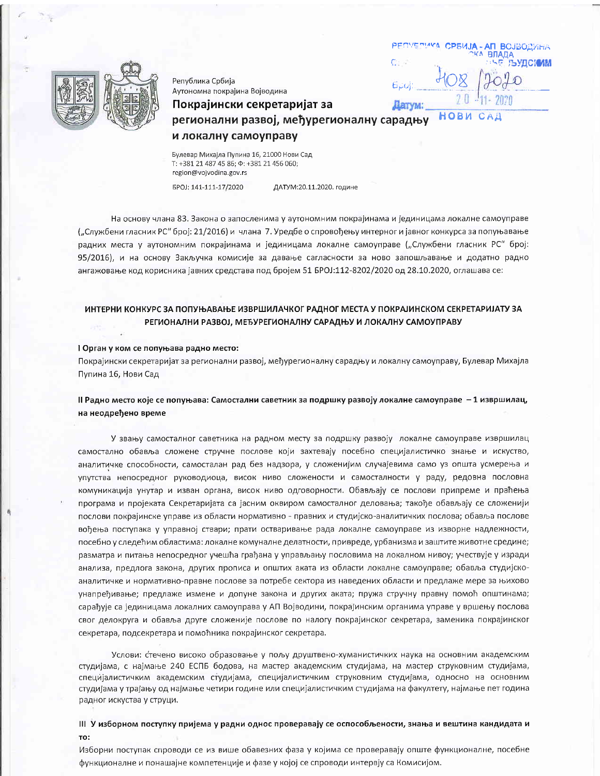



Република Србија Аутономна покрајина Војводина

# и локалну самоуправу

Покрајински секретаријат за

Булевар Михајла Пупина 16, 21000 Нови Сад T: +381 21 487 45 86;  $\Phi$ : +381 21 456 060; region@vojvodina.gov.rs

5POJ: 141-111-17/2020

ДАТУМ:20.11.2020. године

На основу члана 83. Закона о запосленима у аутономним покрајинама и јединицама локалне самоуправе ("Службени гласник РС" број: 21/2016) и члана 7. Уредбе о спровођењу интерног и јавног конкурса за попуњавање радних места у аутономним покрајинама и јединицама локалне самоуправе ("Службени гласник РС" број: 95/2016), и на основу Закључка комисије за давање сагласности за ново запошљавање и додатно радно ангажовање код корисника јавних средстава под бројем 51 БРОЈ:112-8202/2020 од 28.10.2020, оглашава се:

## ИНТЕРНИ КОНКУРС ЗА ПОПУЊАВАЊЕ ИЗВРШИЛАЧКОГ РАДНОГ МЕСТА У ПОКРАЈИНСКОМ СЕКРЕТАРИЈАТУ ЗА РЕГИОНАЛНИ РАЗВОЈ, МЕЂУРЕГИОНАЛНУ САРАДЊУ И ЛОКАЛНУ САМОУПРАВУ

#### I Орган у ком се попуњава радно место:

Покрајински секретаријат за регионални развој, међурегионалну сарадњу и локалну самоуправу, Булевар Михајла Пупина 16, Нови Сад

### II Радно место које се попуњава: Самостални саветник за подршку развоју локалне самоуправе - 1 извршилац, на неодређено време

У звању самосталног саветника на радном месту за подршку развоју локалне самоуправе извршилац самостално обавља сложене стручне послове који захтевају посебно специјалистичко знање и искуство, аналитичке способности, самосталан рад без надзора, у сложенијим случајевима само уз општа усмерења и упутства непосредног руководиоца, висок ниво сложености и самосталности у раду, редовна пословна комуникација унутар и изван органа, висок ниво одговорности. Обављају се послови припреме и праћења програма и пројеката Секретаријата са јасним оквиром самосталног деловања; такође обављају се сложенији послови покрајинске управе из области нормативно - правних и студијско-аналитичких послова; обавља послове вођења поступака у управној ствари; прати остваривање рада локалне самоуправе из изворне надлежности, посебно у следећим областима: локалне комуналне делатности, привреде, урбанизма и заштите животне средине; разматра и питања непосредног учешћа грађана у управљању пословима на локалном нивоу; учествује у изради анализа, предлога закона, других прописа и општих аката из области локалне самоуправе; обавља студијскоаналитичке и нормативно-правне послове за потребе сектора из наведених области и предлаже мере за њихово унапређивање; предлаже измене и допуне закона и других аката; пружа стручну правну помоћ општинама; сарађује са јединицама локалних самоуправа у АП Војводини, покрајинским органима управе у вршењу послова свог делокруга и обавља друге сложеније послове по налогу покрајинског секретара, заменика покрајинског секретара, подсекретара и помоћника покрајинског секретара.

Услови: стечено високо образовање у пољу друштвено-хуманистичких наука на основним академским студијама, с најмање 240 ЕСПБ бодова, на мастер академским студијама, на мастер струковним студијама, специјалистичким академским студијама, специјалистичким струковним студијама, односно на основним студијама у трајању од најмање четири године или специјалистичким студијама на факултету, најмање пет година радног искуства у струци.

### III У изборном поступку пријема у радни однос проверавају се оспособљености, знања и вештина кандидата и TO:

Изборни поступак спроводи се из више обавезних фаза у којима се проверавају опште функционалне, посебне функционалне и понашајне компетенције и фазе у којој се спроводи интервју са Комисијом.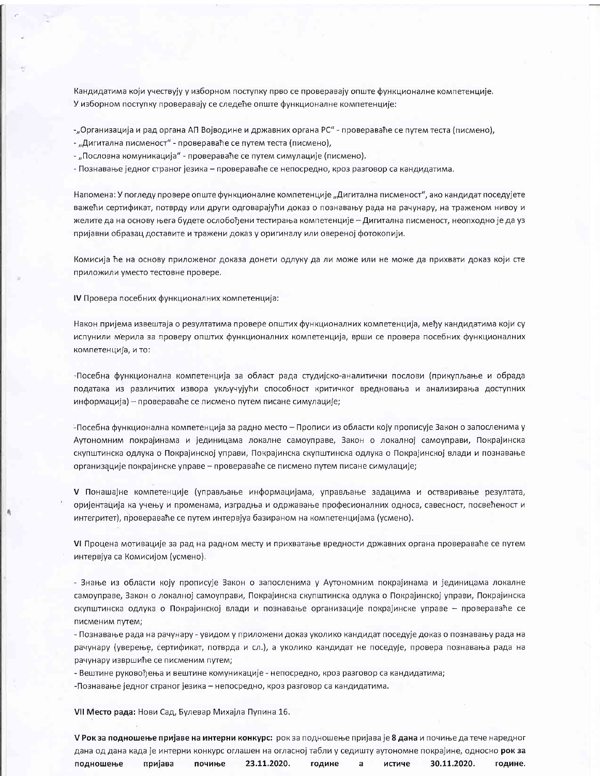Кандидатима који учествују у изборном поступку прво се проверавају опште функционалне компетенције. У изборном поступку проверавају се следеће опште функционалне компетенције:

-"Организација и рад органа АП Војводине и државних органа РС" - провераваће се путем теста (писмено),

- "Дигитална писменост" - провераваће се путем теста (писмено),

- "Пословна комуникација" - провераваће се путем симулације (писмено).

- Познавање једног страног језика - провераваће се непосредно, кроз разговор са кандидатима.

Напомена: У погледу провере опште функционалне компетенције "Дигитална писменост", ако кандидат поседујете важећи сертификат, потврду или други одговарајући доказ о познавању рада на рачунару, на траженом нивоу и желите да на основу њега будете ослобођени тестирања компетенције - Дигитална писменост, неопходно је да уз пријавни образац доставите и тражени доказ у оригиналу или овереној фотокопији.

Комисија ће на основу приложеног доказа донети одлуку да ли може или не може да прихвати доказ који сте приложили уместо тестовне провере.

IV Провера посебних функционалних компетенција:

Након пријема извештаја о резултатима провере општих функционалних компетенција, међу кандидатима који су испунили мерила за проверу општих функционалних компетенција, врши се провера посебних функционалних компетенција, и то:

-Посебна функционална компетенција за област рада студијско-аналитички послови (прикупљање и обрада података из различитих извора укључујући способност критичког вредновања и анализирања доступних информација) - провераваће се писмено путем писане симулације;

-Посебна функционална компетенција за радно место - Прописи из области коју прописује Закон о запосленима у Аутономним покрајинама и јединицама локалне самоуправе, Закон о локалној самоуправи, Покрајинска скупштинска одлука о Покрајинској управи, Покрајинска скупштинска одлука о Покрајинској влади и познавање организације покрајинске управе - провераваће се писмено путем писане симулације;

V Понашајне компетенције (управљање информацијама, управљање задацима и остваривање резултата, оријентација ка учењу и променама, изградња и одржавање професионалних односа, савесност, посвећеност и интегритет), провераваће се путем интервјуа базираном на компетенцијама (усмено).

VI Процена мотивације за рад на радном месту и прихватање вредности државних органа провераваће се путем интервјуа са Комисијом (усмено).

- Знање из области коју прописује Закон о запосленима у Аутономним покрајинама и јединицама локалне самоуправе, Закон о локалној самоуправи, Покрајинска скупштинска одлука о Покрајинској управи, Покрајинска скупштинска одлука о Покрајинској влади и познавање организације покрајинске управе - провераваће се писменим путем;

- Познавање рада на рачунару - увидом у приложени доказ уколико кандидат поседује доказ о познавању рада на рачунару (уверење, сертификат, потврда и сл.), а уколико кандидат не поседује, провера познавања рада на рачунару извршиће се писменим путем;

- Вештине руковођења и вештине комуникације - непосредно, кроз разговор са кандидатима;

-Познавање једног страног језика - непосредно, кроз разговор са кандидатима.

VII Место рада: Нови Сад, Булевар Михајла Пупина 16.

V Рок за подношење пријаве на интерни конкурс: рок за подношење пријава је 8 дана и почиње да тече наредног дана од дана када је интерни конкурс оглашен на огласној табли у седишту аутономне покрајине, односно рок за подношење пријава почиње 23.11.2020. године истиче 30.11.2020. a године.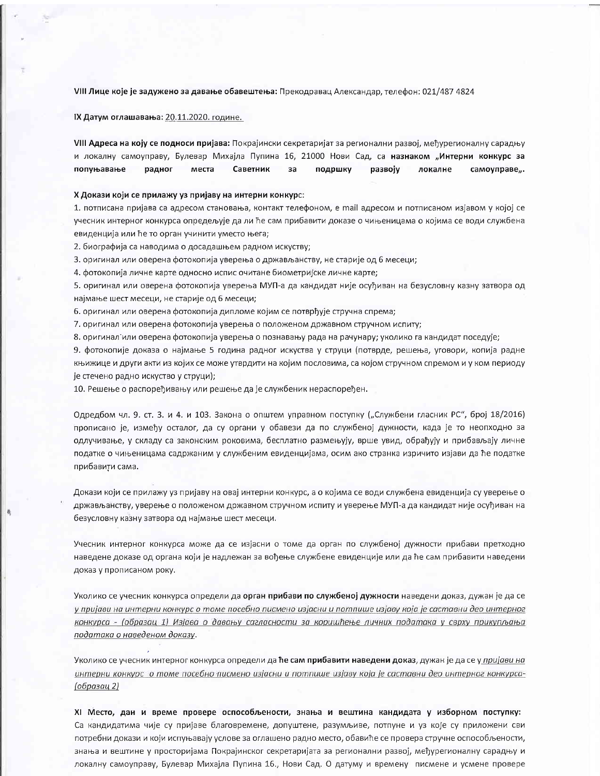VIII Лице које је задужено за давање обавештења: Прекодравац Александар, телефон: 021/487 4824

IX Датум оглашавања: 20.11.2020. године.

VIII Адреса на коју се подноси пријава: Покрајински секретаријат за регионални развој, међурегионалну сарадњу и локалну самоуправу, Булевар Михајла Пупина 16, 21000 Нови Сад, са назнаком "Интерни конкурс за попуњавање Саветник радног места за подршку развоју локалне самоуправе,..

### Х Докази који се прилажу уз пријаву на интерни конкурс:

1. потписана пријава са адресом становања, контакт телефоном, е mail адресом и потписаном изјавом у којој се учесник интерног конкурса опредељује да ли ће сам прибавити доказе о чињеницама о којима се води службена евиденција или ће то орган учинити уместо њега;

2. биографија са наводима о досадашњем радном искуству;

3. оригинал или оверена фотокопија уверења о држављанству, не старије од 6 месеци;

4. фотокопија личне карте односно испис очитане биометријске личне карте;

5. оригинал или оверена фотокопија уверења МУП-а да кандидат није осуђиван на безусловну казну затвора од најмање шест месеци, не старије од 6 месеци;

6. оригинал или оверена фотокопија дипломе којим се потврђује стручна спрема;

7. оригинал или оверена фотокопија уверења о положеном државном стручном испиту;

8. оригинал или оверена фотокопија уверења о познавању рада на рачунару; уколико га кандидат поседује;

9. фотокопије доказа о најмање 5 година радног искуства у струци (потврде, решења, уговори, копија радне књижице и други акти из којих се може утврдити на којим пословима, са којом стручном спремом и у ком периоду је стечено радно искуство у струци);

10. Решење о распоређивању или решење да је службеник нераспоређен.

Одредбом чл. 9. ст. 3. и 4. и 103. Закона о општем управном поступку ("Службени гласник РС", број 18/2016) прописано је, између осталог, да су органи у обавези да по службеној дужности, када је то неопходно за одлучивање, у складу са законским роковима, бесплатно размењују, врше увид, обрађују и прибављају личне податке о чињеницама садржаним у службеним евиденцијама, осим ако странка изричито изјави да ће податке прибавити сама.

Докази који се прилажу уз пријаву на овај интерни конкурс, а о којима се води службена евиденција су уверење о држављанству, уверење о положеном државном стручном испиту и уверење МУП-а да кандидат није осуђиван на безусловну казну затвора од најмање шест месеци.

Учесник интерног конкурса може да се изјасни о томе да орган по службеној дужности прибави претходно наведене доказе од органа који је надлежан за вођење службене евиденције или да ће сам прибавити наведени доказ у прописаном року.

Уколико се учесник конкурса определи да орган прибави по службеној дужности наведени доказ, дужан је да се у пријави на интерни конкурс о томе посебно писмено изјасни и потпише изјаву која је саставни део интерног конкурса - (образац 1) Изјава о давању сагласности за коришћење личних података у сврху прикупљања података о наведеном доказу.

Уколико се учесник интерног конкурса определи да ће сам прибавити наведени доказ, дужан је да се у пријави на интерни конкурс о томе посебно писмено изјасни и потпише изјаву која је саставни део интерног конкурса-(образац 2)

XI Место, дан и време провере оспособљености, знања и вештина кандидата у изборном поступку: Са кандидатима чије су пријаве благовремене, допуштене, разумљиве, потпуне и уз које су приложени сви потребни докази и који испуњавају услове за оглашено радно место, обавиће се провера стручне оспособљености, знања и вештине у просторијама Покрајинског секретаријата за регионални развој, међурегионалну сарадњу и локалну самоуправу, Булевар Михајла Пупина 16., Нови Сад. О датуму и времену писмене и усмене провере